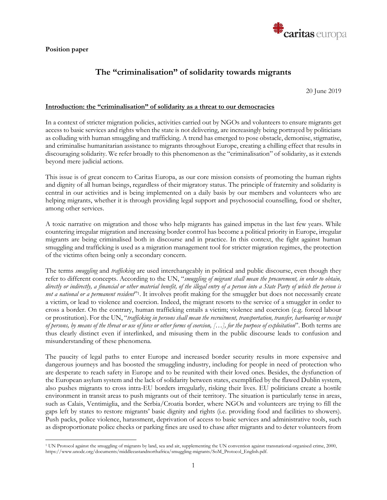

### **Position paper**

# **The "criminalisation" of solidarity towards migrants**

20 June 2019

## **Introduction: the "criminalisation" of solidarity as a threat to our democracies**

In a context of stricter migration policies, activities carried out by NGOs and volunteers to ensure migrants get access to basic services and rights when the state is not delivering, are increasingly being portrayed by politicians as colluding with human smuggling and trafficking. A trend has emerged to pose obstacle, demonise, stigmatise, and criminalise humanitarian assistance to migrants throughout Europe, creating a chilling effect that results in discouraging solidarity. We refer broadly to this phenomenon as the "criminalisation" of solidarity, as it extends beyond mere judicial actions.

This issue is of great concern to Caritas Europa, as our core mission consists of promoting the human rights and dignity of all human beings, regardless of their migratory status. The principle of fraternity and solidarity is central in our activities and is being implemented on a daily basis by our members and volunteers who are helping migrants, whether it is through providing legal support and psychosocial counselling, food or shelter, among other services.

A toxic narrative on migration and those who help migrants has gained impetus in the last few years. While countering irregular migration and increasing border control has become a political priority in Europe, irregular migrants are being criminalised both in discourse and in practice. In this context, the fight against human smuggling and trafficking is used as a migration management tool for stricter migration regimes, the protection of the victims often being only a secondary concern.

The terms *smuggling* and *trafficking* are used interchangeably in political and public discourse, even though they refer to different concepts. According to the UN, "*smuggling of migrant shall mean the procurement, in order to obtain, directly or indirectly, a financial or other material benefit, of the illegal entry of a person into a State Party of which the person is*  not a national or a permanent resident<sup>21</sup>. It involves profit making for the smuggler but does not necessarily create a victim, or lead to violence and coercion. Indeed, the migrant resorts to the service of a smuggler in order to cross a border. On the contrary, human trafficking entails a victim; violence and coercion (e.g. forced labour or prostitution). For the UN, "*trafficking in persons shall mean the recruitment, transportation, transfer, harbouring or receipt of persons, by means of the threat or use of force or other forms of coercion, […], for the purpose of exploitation*". Both terms are thus clearly distinct even if interlinked, and misusing them in the public discourse leads to confusion and misunderstanding of these phenomena.

The paucity of legal paths to enter Europe and increased border security results in more expensive and dangerous journeys and has boosted the smuggling industry, including for people in need of protection who are desperate to reach safety in Europe and to be reunited with their loved ones. Besides, the dysfunction of the European asylum system and the lack of solidarity between states, exemplified by the flawed Dublin system, also pushes migrants to cross intra-EU borders irregularly, risking their lives. EU politicians create a hostile environment in transit areas to push migrants out of their territory. The situation is particularly tense in areas, such as Calais, Ventimiglia, and the Serbia/Croatia border, where NGOs and volunteers are trying to fill the gaps left by states to restore migrants' basic dignity and rights (i.e. providing food and facilities to showers). Push packs, police violence, harassment, deprivation of access to basic services and administrative tools, such as disproportionate police checks or parking fines are used to chase after migrants and to deter volunteers from

l <sup>1</sup> UN Protocol against the smuggling of migrants by land, sea and air, supplementing the UN convention against transnational organised crime, 2000, https://www.unodc.org/documents/middleeastandnorthafrica/smuggling-migrants/SoM\_Protocol\_English.pdf.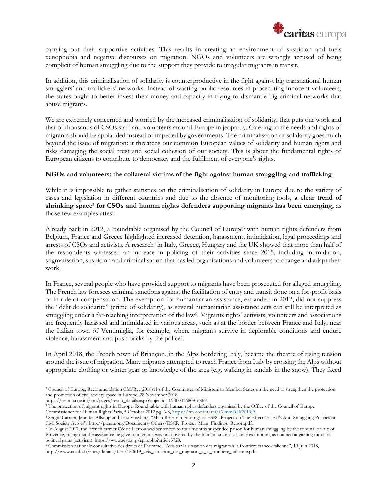

carrying out their supportive activities. This results in creating an environment of suspicion and fuels xenophobia and negative discourses on migration. NGOs and volunteers are wrongly accused of being complicit of human smuggling due to the support they provide to irregular migrants in transit.

In addition, this criminalisation of solidarity is counterproductive in the fight against big transnational human smugglers' and traffickers' networks. Instead of wasting public resources in prosecuting innocent volunteers, the states ought to better invest their money and capacity in trying to dismantle big criminal networks that abuse migrants.

We are extremely concerned and worried by the increased criminalisation of solidarity, that puts our work and that of thousands of CSOs staff and volunteers around Europe in jeopardy. Catering to the needs and rights of migrants should be applauded instead of impeded by governments. The criminalisation of solidarity goes much beyond the issue of migration: it threatens our common European values of solidarity and human rights and risks damaging the social trust and social cohesion of our society. This is about the fundamental rights of European citizens to contribute to democracy and the fulfilment of everyone's rights.

## **NGOs and volunteers: the collateral victims of the fight against human smuggling and trafficking**

While it is impossible to gather statistics on the criminalisation of solidarity in Europe due to the variety of cases and legislation in different countries and due to the absence of monitoring tools, **a clear trend of shrinking space<sup>2</sup> for CSOs and human rights defenders supporting migrants has been emerging,** as those few examples attest.

Already back in 2012, a roundtable organised by the Council of Europe<sup>3</sup> with human rights defenders from Belgium, France and Greece highlighted increased detention, harassment, intimidation, legal proceedings and arrests of CSOs and activists. A research<sup>4</sup> in Italy, Greece, Hungary and the UK showed that more than half of the respondents witnessed an increase in policing of their activities since 2015, including intimidation, stigmatisation, suspicion and criminalisation that has led organisations and volunteers to change and adapt their work.

In France, several people who have provided support to migrants have been prosecuted for alleged smuggling. The French law foresees criminal sanctions against the facilitation of entry and transit done on a for-profit basis or in rule of compensation. The exemption for humanitarian assistance, expanded in 2012, did not suppress the "délit de solidarité" (crime of solidarity), as several humanitarian assistance acts can still be interpreted as smuggling under a far-reaching interpretation of the law<sup>5</sup>. Migrants rights' activists, volunteers and associations are frequently harassed and intimidated in various areas, such as at the border between France and Italy, near the Italian town of Ventimiglia, for example, where migrants survive in deplorable conditions and endure violence, harassment and push backs by the police<sup>6</sup>.

In April 2018, the French town of Briançon, in the Alps bordering Italy, became the theatre of rising tension around the issue of migration. Many migrants attempted to reach France from Italy by crossing the Alps without appropriate clothing or winter gear or knowledge of the area (e.g. walking in sandals in the snow). They faced

l <sup>2</sup> Council of Europe, Recommendation CM/Rec(2018)11 of the Committee of Ministers to Member States on the need to strengthen the protection and promotion of civil society space in Europe, 28 November 2018,

https://search.coe.int/cm/pages/result\_details.aspx?objectid=09000016808fd8b9.

<sup>&</sup>lt;sup>3</sup> The protection of migrant rights in Europe. Round table with human rights defenders organised by the Office of the Council of Europe Commissioner for Human Rights Paris, 5 October 2012 pg. 6-8[, https://rm.coe.int/ref/CommDH\(2013\)9.](https://rm.coe.int/ref/CommDH(2013)9)

<sup>4</sup> Sergio Carrera, Jennifer Allsopp and Lina Vosyliūtė, "Main Research Findings of ESRC Project on The Effects of EU's Anti-Smuggling Policies on Civil Society Actors", http://picum.org/Documents/Others/ESCR\_Project\_Main\_Findings\_Report.pdf.

<sup>&</sup>lt;sup>5</sup> In August 2017, the French farmer Cédric Herrou was sentenced to four months suspended prison for human smuggling by the tribunal of Aix of Provence, ruling that the assistance he gave to migrants was not covered by the humanitarian assistance exemption, as it aimed at gaining moral or political gains (activism). https://www.gisti.org/spip.php?article5728.

<sup>6</sup> Commission nationale consultative des droits de l'homme, "Avis sur la situation des migrants à la frontière franco-italienne", 19 Juin 2018, http://www.cncdh.fr/sites/default/files/180619\_avis\_situation\_des\_migrants\_a\_la\_frontiere\_italienne.pdf.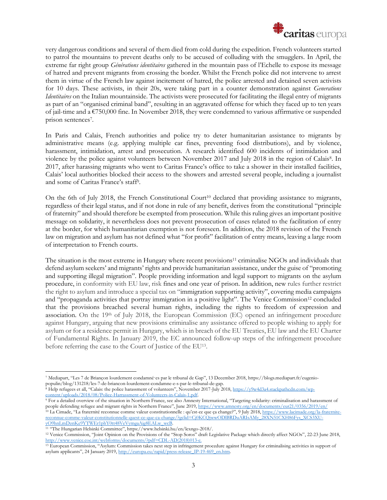

very dangerous conditions and several of them died from cold during the expedition. French volunteers started to patrol the mountains to prevent deaths only to be accused of colluding with the smugglers. In April, the extreme far right group *Générations identitaires* gathered in the mountain pass of l'Echelle to expose its message of hatred and prevent migrants from crossing the border. Whilst the French police did not intervene to arrest them in virtue of the French law against incitement of hatred, the police arrested and detained seven activists for 10 days. These activists, in their 20s, were taking part in a counter demonstration against *Generations Identitaires* on the Italian mountainside. The activists were prosecuted for facilitating the illegal entry of migrants as part of an "organised criminal band", resulting in an aggravated offense for which they faced up to ten years of jail-time and a €750,000 fine. In November 2018, they were condemned to various affirmative or suspended prison sentences<sup>7</sup>.

In Paris and Calais, French authorities and police try to deter humanitarian assistance to migrants by administrative means (e.g. applying multiple car fines, preventing food distributions), and by violence, harassment, intimidation, arrest and prosecution. A research identified 600 incidents of intimidation and violence by the police against volunteers between November 2017 and July 2018 in the region of Calais<sup>8</sup> . In 2017, after harassing migrants who went to Caritas France's office to take a shower in their installed facilities, Calais' local authorities blocked their access to the showers and arrested several people, including a journalist and some of Caritas France's staff<sup>9</sup> .

On the 6th of July 2018, the French Constitutional Court<sup>10</sup> declared that providing assistance to migrants, regardless of their legal status, and if not done in rule of any benefit, derives from the constitutional "principle of fraternity" and should therefore be exempted from prosecution. While this ruling gives an important positive message on solidarity, it nevertheless does not prevent prosecution of cases related to the facilitation of entry at the border, for which humanitarian exemption is not foreseen. In addition, the 2018 revision of the French law on migration and asylum has not defined what "for profit" facilitation of entry means, leaving a large room of interpretation to French courts.

The situation is the most extreme in Hungary where recent provisions<sup>11</sup> criminalise NGOs and individuals that defend asylum seekers' and migrants' rights and provide humanitarian assistance, under the guise of "promoting and supporting illegal migration". People providing information and legal support to migrants on the asylum procedure, in conformity with EU law, risk fines and one year of prison. In addition, new rules further restrict the right to asylum and introduce a special tax on "immigration supporting activity", covering media campaigns and "propaganda activities that portray immigration in a positive light". The Venice Commission<sup>12</sup> concluded that the provisions breached several human rights, including the rights to freedom of expression and association. On the 19th of July 2018, the European Commission (EC) opened an infringement procedure against Hungary, arguing that new provisions criminalise any assistance offered to people wishing to apply for asylum or for a residence permit in Hungary, which is in breach of the EU Treaties, EU law and the EU Charter of Fundamental Rights. In January 2019, the EC announced follow-up steps of the infringement procedure before referring the case to the Court of Justice of the EU<sup>13</sup>.

<sup>8</sup> Help refugees et all, "Calais: the police harassment of volunteers", November 2017-July 2018[, https://y9w4d3a4.stackpathcdn.com/wp](https://y9w4d3a4.stackpathcdn.com/wp-content/uploads/2018/08/Police-Harrassment-of-Volunteers-in-Calais-1.pdf)[content/uploads/2018/08/Police-Harrassment-of-Volunteers-in-Calais-1.pdf.](https://y9w4d3a4.stackpathcdn.com/wp-content/uploads/2018/08/Police-Harrassment-of-Volunteers-in-Calais-1.pdf)

 $\overline{a}$ <sup>7</sup> Mediapart, "Les 7 de Briançon lourdement condamné·es par le tribunal de Gap", 13 December 2018, https://blogs.mediapart.fr/eugeniopopulin/blog/131218/les-7-de-briancon-lourdement-condamne-e-s-par-le-tribunal-de-gap.

<sup>9</sup> For a detailed overview of the situation in Northern France, see also Amnesty International, "Targeting solidarity: criminalisation and harassment of people defending refugee and migrant rights in Northern France", June 2019, https://www.amnesty.org/en/documents/eur21/0356/2019/en/ <sup>10</sup> La Cimade, "La fraternité reconnue comme valeur constitutionnelle : qu'est-ce que ça change?", 9 July 2018, [https://www.lacimade.org/la-fraternite](https://www.lacimade.org/la-fraternite-reconnue-comme-valeur-constitutionnelle-quest-ce-que-ca-change/?gclid=Cj0KCQjwwODlBRDuARIsAMy_28XN51CXH86Fys_XCS3XU-yO9hnLmDznKe9YTWEr1phY0tt48VeVymgaAig8EALw_wcB)[reconnue-comme-valeur-constitutionnelle-quest-ce-que-ca-change/?gclid=Cj0KCQjwwODlBRDuARIsAMy\\_28XN51CXH86Fys\\_XCS3XU](https://www.lacimade.org/la-fraternite-reconnue-comme-valeur-constitutionnelle-quest-ce-que-ca-change/?gclid=Cj0KCQjwwODlBRDuARIsAMy_28XN51CXH86Fys_XCS3XU-yO9hnLmDznKe9YTWEr1phY0tt48VeVymgaAig8EALw_wcB)[yO9hnLmDznKe9YTWEr1phY0tt48VeVymgaAig8EALw\\_wcB.](https://www.lacimade.org/la-fraternite-reconnue-comme-valeur-constitutionnelle-quest-ce-que-ca-change/?gclid=Cj0KCQjwwODlBRDuARIsAMy_28XN51CXH86Fys_XCS3XU-yO9hnLmDznKe9YTWEr1phY0tt48VeVymgaAig8EALw_wcB) 

<sup>11</sup> "The Hungarian Helsinki Committee", https://www.helsinki.hu/en/lexngo-2018/.

<sup>&</sup>lt;sup>12</sup> Venice Commission, "Joint Opinion on the Provisions of the "Stop Soros" draft Legislative Package which directly affect NGOs", 22-23 June 2018, [http://www.venice.coe.int/webforms/documents/?pdf=CDL-AD\(2018\)013-e.](http://www.venice.coe.int/webforms/documents/?pdf=CDL-AD(2018)013-e)

<sup>13</sup> European Commission, "Asylum: Commission takes next step in infringement procedure against Hungary for criminalising activities in support of asylum applicants", 24 January 2019, [http://europa.eu/rapid/press-release\\_IP-19-469\\_en.htm.](http://europa.eu/rapid/press-release_IP-19-469_en.htm)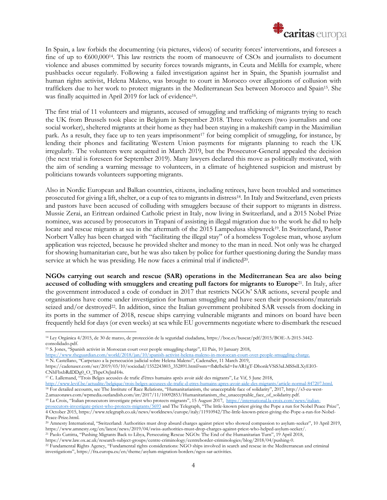

In Spain, a law forbids the documenting (via pictures, videos) of security forces' interventions, and foresees a fine of up to €600,00014. This law restricts the room of manoeuvre of CSOs and journalists to document violence and abuses committed by security forces towards migrants, in Ceuta and Melilla for example, where pushbacks occur regularly. Following a failed investigation against her in Spain, the Spanish journalist and human rights activist, Helena Maleno, was brought to court in Morocco over allegations of collusion with traffickers due to her work to protect migrants in the Mediterranean Sea between Morocco and Spain<sup>15</sup> . She was finally acquitted in April 2019 for lack of evidence<sup>16</sup>.

The first trial of 11 volunteers and migrants, accused of smuggling and trafficking of migrants trying to reach the UK from Brussels took place in Belgium in September 2018. Three volunteers (two journalists and one social worker), sheltered migrants at their home as they had been staying in a makeshift camp in the Maximilian park. As a result, they face up to ten years imprisonment<sup>17</sup> for being complicit of smuggling, for instance, by lending their phones and facilitating Western Union payments for migrants planning to reach the UK irregularly. The volunteers were acquitted in March 2019, but the Prosecutor-General appealed the decision (the next trial is foreseen for September 2019). Many lawyers declared this move as politically motivated, with the aim of sending a warning message to volunteers, in a climate of heightened suspicion and mistrust by politicians towards volunteers supporting migrants.

Also in Nordic European and Balkan countries, citizens, including retirees, have been troubled and sometimes prosecuted for giving a lift, shelter, or a cup of tea to migrants in distress<sup>18</sup>. In Italy and Switzerland, even priests and pastors have been accused of colluding with smugglers because of their support to migrants in distress. Mussie Zerai, an Eritrean ordained Catholic priest in Italy, now living in Switzerland, and a 2015 Nobel Prize nominee, was accused by prosecutors in Trapani of assisting in illegal migration due to the work he did to help locate and rescue migrants at sea in the aftermath of the 2015 Lampedusa shipwreck<sup>19</sup>. In Switzerland, Pastor Norbert Valley has been charged with "facilitating the illegal stay" of a homeless Togolese man, whose asylum application was rejected, because he provided shelter and money to the man in need. Not only was he charged for showing humanitarian care, but he was also taken by police for further questioning during the Sunday mass service at which he was presiding. He now faces a criminal trial if indicted<sup>20</sup>.

**NGOs carrying out search and rescue (SAR) operations in the Mediterranean Sea are also being accused of colluding with smugglers and creating pull factors for migrants to Europe**21. In Italy, after the government introduced a code of conduct in 2017 that restricts NGOs' SAR actions, several people and organisations have come under investigation for human smuggling and have seen their possessions/materials seized and/or destroyed<sup>22</sup>. In addition, since the Italian government prohibited SAR vessels from docking in its ports in the summer of 2018, rescue ships carrying vulnerable migrants and minors on board have been frequently held for days (or even weeks) at sea while EU governments negotiate where to disembark the rescued

 $\overline{a}$ <sup>14</sup> Ley Orgánica 4/2015, de 30 de marzo, de protección de la seguridad ciudadana, https://boe.es/buscar/pdf/2015/BOE-A-2015-3442 consolidado.pdf.

<sup>15</sup> S. Jones, "Spanish activist in Moroccan court over people smuggling charge", El Pais, 10 January 2018,

[https://www.theguardian.com/world/2018/jan/10/spanish-activist-helena-maleno-in-moroccan-court-over-people-smuggling-charge.](https://www.theguardian.com/world/2018/jan/10/spanish-activist-helena-maleno-in-moroccan-court-over-people-smuggling-charge)

<sup>16</sup> N. Castellano, "Carpetazo a la persecución judicial sobre Helena Maleno", CadenaSer, 11 March 2019,

https://cadenaser.com/ser/2019/03/10/sociedad/1552243803\_352891.html?ssm=fb&fbclid=IwAR1gT-DhonlcVSiS3aLMSSslLXyEI03- CNhFbxbRdDDg0\_O\_ThpeOxJmH4s.

<sup>17</sup> C. Lallemand, "Trois Belges accusées de trafic d'êtres humains après avoir aidé des migrants", Le Vif, 5 June 2018,

[http://www.levif.be/actualite/belgique/trois-belges-accusees-de-trafic-d-etres-humains-apres-avoir-aide-des-migrants/article-normal-847207.html.](http://www.levif.be/actualite/belgique/trois-belges-accusees-de-trafic-d-etres-humains-apres-avoir-aide-des-migrants/article-normal-847207.html) <sup>18</sup> For detailed accounts, see The Institute of Race Relations, "Humanitarianism, the unacceptable face of solidarity", 2017, http://s3-eu-west-2.amazonaws.com/wpmedia.outlandish.com/irr/2017/11/10092853/Humanitarianism\_the\_unacceptable\_face\_of\_solidarity.pdf.

<sup>&</sup>lt;sup>19</sup> La Croix, "Italian prosecutors investigate priest who protects migrants", 15 August 2017, [https://international.la-croix.com/news/italian-](https://international.la-croix.com/news/italian-prosecutors-investigate-priest-who-protects-migrants/5693)

[prosecutors-investigate-priest-who-protects-migrants/5693](https://international.la-croix.com/news/italian-prosecutors-investigate-priest-who-protects-migrants/5693) and The Telegraph, "The little-known priest giving the Pope a run for Nobel Peace Prize", 4 October 2015, https://www.telegraph.co.uk/news/worldnews/europe/italy/11910942/The-little-known-priest-giving-the-Pope-a-run-for-Nobel-Peace-Prize.html.

<sup>20</sup> Amnesty International, "Switzerland: Authorities must drop absurd charges against priest who showed compassion to asylum-seeker", 10 April 2019, https://www.amnesty.org/en/latest/news/2019/04/swiss-authorities-must-drop-charges-against-priest-who-helped-asylum-seeker/.

<sup>21</sup> Paolo Cuttitta, "Pushing Migrants Back to Libya, Persecuting Rescue NGOs: The End of the Humanitarian Turn", 19 April 2018,

https://www.law.ox.ac.uk/research-subject-groups/centre-criminology/centreborder-criminologies/blog/2018/04/pushing-0.

<sup>22</sup> Fundamental Rights Agency, "Fundamental rights considerations: NGO ships involved in search and rescue in the Mediterranean and criminal investigations", https://fra.europa.eu/en/theme/asylum-migration-borders/ngos-sar-activities.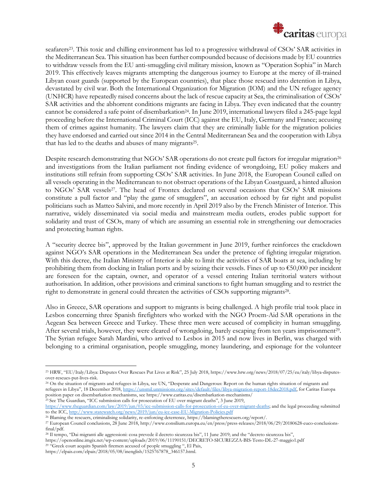

seafarers<sup>23</sup>. This toxic and chilling environment has led to a progressive withdrawal of CSOs' SAR activities in the Mediterranean Sea. This situation has been further compounded because of decisions made by EU countries to withdraw vessels from the EU anti-smuggling civil military mission, known as "Operation Sophia" in March 2019. This effectively leaves migrants attempting the dangerous journey to Europe at the mercy of ill-trained Libyan coast guards (supported by the European countries), that place those rescued into detention in Libya, devastated by civil war. Both the International Organization for Migration (IOM) and the UN refugee agency (UNHCR) have repeatedly raised concerns about the lack of rescue capacity at Sea, the criminalisation of CSOs' SAR activities and the abhorrent conditions migrants are facing in Libya. They even indicated that the country cannot be considered a safe point of disembarkation<sup>24</sup>. In June 2019, international lawyers filed a 245-page legal proceeding before the International Criminal Court (ICC) against the EU, Italy, Germany and France; accusing them of crimes against humanity. The lawyers claim that they are criminally liable for the migration policies they have endorsed and carried out since 2014 in the Central Mediterranean Sea and the cooperation with Libya that has led to the deaths and abuses of many migrants<sup>25</sup>.

Despite research demonstrating that NGOs' SAR operations do not create pull factors for irregular migration<sup>26</sup> and investigations from the Italian parliament not finding evidence of wrongdoing, EU policy makers and institutions still refrain from supporting CSOs' SAR activities. In June 2018, the European Council called on all vessels operating in the Mediterranean to not obstruct operations of the Libyan Coastguard, a hinted allusion to NGOs' SAR vessels<sup>27</sup>. The head of Frontex declared on several occasions that CSOs' SAR missions constitute a pull factor and "play the game of smugglers", an accusation echoed by far right and populist politicians such as Matteo Salvini, and more recently in April 2019 also by the French Minister of Interior. This narrative, widely disseminated via social media and mainstream media outlets, erodes public support for solidarity and trust of CSOs, many of which are assuming an essential role in strengthening our democracies and protecting human rights.

A "security decree bis", approved by the Italian government in June 2019, further reinforces the crackdown against NGO's SAR operations in the Mediterranean Sea under the pretence of fighting irregular migration. With this decree, the Italian Ministry of Interior is able to limit the activities of SAR boats at sea, including by prohibiting them from docking in Italian ports and by seizing their vessels. Fines of up to €50,000 per incident are foreseen for the captain, owner, and operator of a vessel entering Italian territorial waters without authorisation. In addition, other provisions and criminal sanctions to fight human smuggling and to restrict the right to demonstrate in general could threaten the activities of CSOs supporting migrants<sup>28</sup>.

Also in Greece, SAR operations and support to migrants is being challenged. A high profile trial took place in Lesbos concerning three Spanish firefighters who worked with the NGO Proem-Aid SAR operations in the Aegean Sea between Greece and Turkey. These three men were accused of complicity in human smuggling. After several trials, however, they were cleared of wrongdoing, barely escaping from ten years imprisonment<sup>29</sup>. The Syrian refugee Sarah Mardini, who arrived to Lesbos in 2015 and now lives in Berlin, was charged with belonging to a criminal organisation, people smuggling, money laundering, and espionage for the volunteer

<sup>29</sup> "Greek court acquits Spanish firemen accused of people smuggling ", El Pais,

 $\overline{a}$ 

<sup>23</sup> HRW, "EU/Italy/Libya: Disputes Over Rescues Put Lives at Risk", 25 July 2018, https://www.hrw.org/news/2018/07/25/eu/italy/libya-disputesover-rescues-put-lives-risk.

<sup>&</sup>lt;sup>24</sup> On the situation of migrants and refugees in Libya, see UN, "Desperate and Dangerous: Report on the human rights situation of migrants and refugees in Libya", 18 December 2018, [https://unsmil.unmissions.org/sites/default/files/libya-migration-report-18dec2018.pdf,](https://unsmil.unmissions.org/sites/default/files/libya-migration-report-18dec2018.pdf) for Caritas Europa position paper on disembarkation mechanisms, see https://www.caritas.eu/disembarkation-mechanisms/

<sup>&</sup>lt;sup>25</sup> See The Guardian, "ICC submission calls for prosecution of EU over migrant deaths", 3 June 2019,

[https://www.theguardian.com/law/2019/jun/03/icc-submission-calls-for-prosecution-of-eu-over-migrant-deaths;](https://www.theguardian.com/law/2019/jun/03/icc-submission-calls-for-prosecution-of-eu-over-migrant-deaths) and the legal proceeding submitted to the ICC[, http://www.statewatch.org/news/2019/jun/eu-icc-case-EU-Migration-Policies.pdf](http://www.statewatch.org/news/2019/jun/eu-icc-case-EU-Migration-Policies.pdf)

<sup>26</sup> Blaming the rescuers, criminalising solidarity, re-enforcing deterrence, https://blamingtherescuers.org/report/.

<sup>27</sup> European Council conclusions, 28 June 2018, http://www.consilium.europa.eu/en/press/press-releases/2018/06/29/20180628-euco-conclusionsfinal/pdf.

<sup>28</sup> Il tempo, "Dai migranti alle aggressioni: cosa prevede il decreto sicurezza bis", 11 June 2019; and the "decreto sicurezza bis",

https://openonline.imgix.net/wp-content/uploads/2019/06/11190151/DECRETO-SICUREZZA-BIS-Testo-DL-27-maggio1.pdf

https://elpais.com/elpais/2018/05/08/inenglish/1525767878\_346157.html.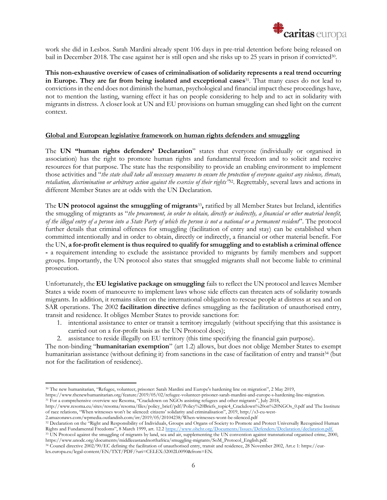

work she did in Lesbos. Sarah Mardini already spent 106 days in pre-trial detention before being released on bail in December 2018. The case against her is still open and she risks up to 25 years in prison if convicted<sup>30</sup>.

**This non-exhaustive overview of cases of criminalisation of solidarity represents a real trend occurring**  in Europe. They are far from being isolated and exceptional cases<sup>31</sup>. That many cases do not lead to convictions in the end does not diminish the human, psychological and financial impact these proceedings have, not to mention the lasting, warning effect it has on people considering to help and to act in solidarity with migrants in distress. A closer look at UN and EU provisions on human smuggling can shed light on the current context.

## **Global and European legislative framework on human rights defenders and smuggling**

The **UN "human rights defenders' Declaration**" states that everyone (individually or organised in association) has the right to promote human rights and fundamental freedom and to solicit and receive resources for that purpose. The state has the responsibility to provide an enabling environment to implement those activities and "*the state shall take all necessary measures to ensure the protection of everyone against any violence, threats,*  retaliation, discrimination or arbitrary action against the exercise of their rights<sup>'732</sup>. Regrettably, several laws and actions in different Member States are at odds with the UN Declaration.

The **UN protocol against the smuggling of migrants**<sup>33</sup> **,** ratified by all Member States but Ireland, identifies the smuggling of migrants as "*the procurement, in order to obtain, directly or indirectly, a financial or other material benefit, of the illegal entry of a person into a State Party of which the person is not a national or a permanent resident*". The protocol further details that criminal offences for smuggling (facilitation of entry and stay) can be established when committed intentionally and in order to obtain, directly or indirectly, a financial or other material benefit. For the UN, **a for-profit element is thus required to qualify for smuggling and to establish a criminal offence -** a requirement intending to exclude the assistance provided to migrants by family members and support groups. Importantly, the UN protocol also states that smuggled migrants shall not become liable to criminal prosecution.

Unfortunately, the **EU legislative package on smuggling** fails to reflect the UN protocol and leaves Member States a wide room of manoeuvre to implement laws whose side effects can threaten acts of solidarity towards migrants. In addition, it remains silent on the international obligation to rescue people at distress at sea and on SAR operations. The 2002 **facilitation directive** defines smuggling as the facilitation of unauthorised entry, transit and residence. It obliges Member States to provide sanctions for:

- 1. intentional assistance to enter or transit a territory irregularly (without specifying that this assistance is carried out on a for-profit basis as the UN Protocol does);
- 2. assistance to reside illegally on EU territory (this time specifying the financial gain purpose).

The non-binding "**humanitarian exemption**" (art 1.2) allows, but does not oblige Member States to exempt humanitarian assistance (without defining it) from sanctions in the case of facilitation of entry and transit<sup>34</sup> (but not for the facilitation of residence).

https://www.thenewhumanitarian.org/feature/2019/05/02/refugee-volunteer-prisoner-sarah-mardini-and-europe-s-hardening-line-migration. <sup>31</sup> For a comprehensive overview see Resoma, "Crackdown on NGOs assisting refugees and other migrants", July 2018,

l

<sup>30</sup> The new humanitarian, "Refugee, volunteer, prisoner: Sarah Mardini and Europe's hardening line on migration", 2 May 2019,

http://www.resoma.eu/sites/resoma/resoma/files/policy\_brief/pdf/Policy%20Briefs\_topic4\_Crackdown%20on%20NGOs\_0.pdf and The Institute of race relations, "When witnesses won't be silenced: citizens' solidarity and criminalisation", 2019, http://s3-eu-west-

<sup>2.</sup>amazonaws.com/wpmedia.outlandish.com/irr/2019/05/20104238/When-witnesses-wont-be-silenced.pdf

<sup>&</sup>lt;sup>32</sup> Declaration on the "Right and Responsibility of Individuals, Groups and Organs of Society to Promote and Protect Universally Recognised Human Rights and Fundamental Freedoms", 8 March 1999, art. 12.2 [https://www.ohchr.org/Documents/Issues/Defenders/Declaration/declaration.pdf.](https://www.ohchr.org/Documents/Issues/Defenders/Declaration/declaration.pdf) <sup>33</sup> UN Protocol against the smuggling of migrants by land, sea and air, supplementing the UN convention against transnational organised crime, 2000, https://www.unodc.org/documents/middleeastandnorthafrica/smuggling-migrants/SoM\_Protocol\_English.pdf.

<sup>34</sup> Council directive 2002/90/EC defining the facilitation of unauthorised entry, transit and residence, 28 November 2002, Art.e 1: https://eurlex.europa.eu/legal-content/EN/TXT/PDF/?uri=CELEX:32002L0090&from=EN.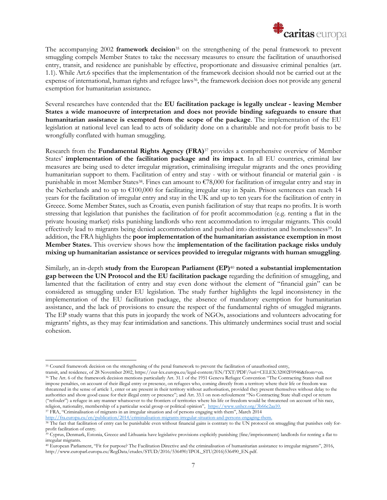

The accompanying 2002 **framework decision**<sup>35</sup> on the strengthening of the penal framework to prevent smuggling compels Member States to take the necessary measures to ensure the facilitation of unauthorised entry, transit, and residence are punishable by effective, proportionate and dissuasive criminal penalties (art. 1.1). While Art.6 specifies that the implementation of the framework decision should not be carried out at the expense of international, human rights and refugee laws 36 , the framework decision does not provide any general exemption for humanitarian assistance**.**

Several researches have contended that the **EU facilitation package is legally unclear - leaving Member States a wide manoeuvre of interpretation and does not provide binding safeguards to ensure that humanitarian assistance is exempted from the scope of the package**. The implementation of the EU legislation at national level can lead to acts of solidarity done on a charitable and not-for profit basis to be wrongfully conflated with human smuggling.

Research from the **Fundamental Rights Agency (FRA)**<sup>37</sup> provides a comprehensive overview of Member States' **implementation of the facilitation package and its impact**. In all EU countries, criminal law measures are being used to deter irregular migration, criminalising irregular migrants and the ones providing humanitarian support to them. Facilitation of entry and stay - with or without financial or material gain - is punishable in most Member States<sup>38</sup>. Fines can amount to €78,000 for facilitation of irregular entry and stay in the Netherlands and to up to €100,000 for facilitating irregular stay in Spain. Prison sentences can reach 14 years for the facilitation of irregular entry and stay in the UK and up to ten years for the facilitation of entry in Greece. Some Member States, such as Croatia, even punish facilitation of stay that reaps no profits. It is worth stressing that legislation that punishes the facilitation of for profit accommodation (e.g. renting a flat in the private housing market) risks punishing landlords who rent accommodation to irregular migrants. This could effectively lead to migrants being denied accommodation and pushed into destitution and homelessness<sup>39</sup>. In addition, the FRA highlights the **poor implementation of the humanitarian assistance exemption in most Member States.** This overview shows how the **implementation of the facilitation package risks unduly mixing up humanitarian assistance or services provided to irregular migrants with human smuggling**.

Similarly, an in-depth **study from the European Parliament (EP)**<sup>40</sup> **noted a substantial implementation gap between the UN Protocol and the EU facilitation package** regarding the definition of smuggling, and lamented that the facilitation of entry and stay even done without the element of "financial gain" can be considered as smuggling under EU legislation. The study further highlights the legal inconsistency in the implementation of the EU facilitation package, the absence of mandatory exemption for humanitarian assistance, and the lack of provisions to ensure the respect of the fundamental rights of smuggled migrants. The EP study warns that this puts in jeopardy the work of NGOs, associations and volunteers advocating for migrants' rights, as they may fear intimidation and sanctions. This ultimately undermines social trust and social cohesion.

[http://fra.europa.eu/en/publication/2014/criminalisation-migrants-irregular-situation-and-persons-engaging-them.](http://fra.europa.eu/en/publication/2014/criminalisation-migrants-irregular-situation-and-persons-engaging-them)

 $\overline{a}$ 

<sup>&</sup>lt;sup>35</sup> Council framework decision on the strengthening of the penal framework to prevent the facilitation of unauthorised entry,

transit, and residence, of 28 November 2002, https://eur-lex.europa.eu/legal-content/EN/TXT/PDF/?uri=CELEX:32002F0946&from=en. <sup>36</sup> The Art. 6 of the framework decision mentions particularly Art. 31.1 of the 1951 Geneva Refugee Convention "The Contracting States shall not impose penalties, on account of their illegal entry or presence, on refugees who, coming directly from a territory where their life or freedom was threatened in the sense of article 1, enter or are present in their territory without authorisation, provided they present themselves without delay to the authorities and show good cause for their illegal entry or presence"; and Art. 33.1 on non-refoulement "No Contracting State shall expel or return ("refouler") a refugee in any manner whatsoever to the frontiers of territories where his life or freedom would be threatened on account of his race, religion, nationality, membership of a particular social group or political opinion", [https://www.unhcr.org/3b66c2aa10.](https://www.unhcr.org/3b66c2aa10) <sup>37</sup> FRA, "Criminalisation of migrants in an irregular situation and of persons engaging with them", March 2014

<sup>&</sup>lt;sup>38</sup> The fact that facilitation of entry can be punishable even without financial gains is contrary to the UN protocol on smuggling that punishes only forprofit facilitation of entry.

<sup>&</sup>lt;sup>39</sup> Cyprus, Denmark, Estonia, Greece and Lithuania have legislative provisions explicitly punishing (fine/imprisonment) landlords for renting a flat to irregular migrants.

<sup>40</sup> European Parliament, "Fit for purpose? The Facilitation Directive and the criminalisation of humanitarian assistance to irregular migrants", 2016, http://www.europarl.europa.eu/RegData/etudes/STUD/2016/536490/IPOL\_STU(2016)536490\_EN.pdf.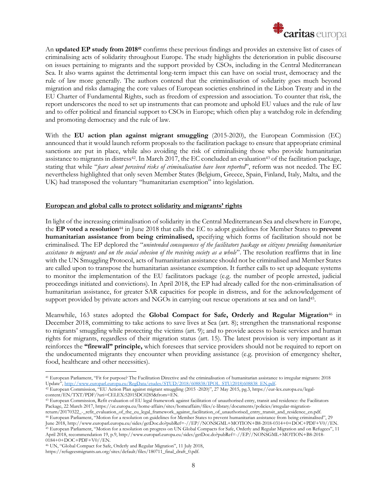

An **updated EP study from 2018<sup>41</sup>** confirms these previous findings and provides an extensive list of cases of criminalising acts of solidarity throughout Europe. The study highlights the deterioration in public discourse on issues pertaining to migrants and the support provided by CSOs, including in the Central Mediterranean Sea. It also warns against the detrimental long-term impact this can have on social trust, democracy and the rule of law more generally. The authors contend that the criminalisation of solidarity goes much beyond migration and risks damaging the core values of European societies enshrined in the Lisbon Treaty and in the EU Charter of Fundamental Rights, such as freedom of expression and association. To counter that risk, the report underscores the need to set up instruments that can promote and uphold EU values and the rule of law and to offer political and financial support to CSOs in Europe; which often play a watchdog role in defending and promoting democracy and the rule of law.

With the **EU action plan against migrant smuggling** (2015-2020), the European Commission (EC) announced that it would launch reform proposals to the facilitation package to ensure that appropriate criminal sanctions are put in place, while also avoiding the risk of criminalising those who provide humanitarian assistance to migrants in distress<sup>42</sup>. In March 2017, the EC concluded an evaluation<sup>43</sup> of the facilitation package, stating that while "*fears about perceived risks of criminalisation have been reported*", reform was not needed. The EC nevertheless highlighted that only seven Member States (Belgium, Greece, Spain, Finland, Italy, Malta, and the UK) had transposed the voluntary "humanitarian exemption" into legislation.

### **European and global calls to protect solidarity and migrants' rights**

In light of the increasing criminalisation of solidarity in the Central Mediterranean Sea and elsewhere in Europe, the **EP voted a resolution**<sup>44</sup> in June 2018 that calls the EC to adopt guidelines for Member States to **prevent humanitarian assistance from being criminalised,** specifying which forms of facilitation should not be criminalised. The EP deplored the "*unintended consequences of the facilitators package on citizens providing humanitarian assistance to migrants and on the social cohesion of the receiving society as a whole*". The resolution reaffirms that in line with the UN Smuggling Protocol, acts of humanitarian assistance should not be criminalised and Member States are called upon to transpose the humanitarian assistance exemption. It further calls to set up adequate systems to monitor the implementation of the EU facilitators package (e.g. the number of people arrested, judicial proceedings initiated and convictions). In April 2018, the EP had already called for the non-criminalisation of humanitarian assistance, for greater SAR capacities for people in distress, and for the acknowledgement of support provided by private actors and NGOs in carrying out rescue operations at sea and on land<sup>45</sup>.

Meanwhile, 163 states adopted the **Global Compact for Safe, Orderly and Regular Migration**<sup>46</sup> in December 2018, committing to take actions to save lives at Sea (art. 8); strengthen the transnational response to migrants' smuggling while protecting the victims (art. 9); and to provide access to basic services and human rights for migrants, regardless of their migration status (art. 15). The latest provision is very important as it reinforces the **"firewall" principle,** which foresees that service providers should not be required to report on the undocumented migrants they encounter when providing assistance (e.g. provision of emergency shelter, food, healthcare and other necessities).

<sup>43</sup> European Commission, Refit evaluation of EU legal framework against facilitation of unauthorised entry, transit and residence: the Facilitators Package, 22 March 2017, https://ec.europa.eu/home-affairs/sites/homeaffairs/files/e-library/documents/policies/irregular-migrationreturn/20170322\_-\_refit\_evaluation\_of\_the\_eu\_legal\_framework\_against\_facilitation\_of\_unauthorised\_entry\_transit\_and\_residence\_en.pdf. <sup>44</sup> European Parliament, "Motion for a resolution on guidelines for Member States to prevent humanitarian assistance from being criminalised", 29 June 2018, http://www.europarl.europa.eu/sides/getDoc.do?pubRef=-//EP//NONSGML+MOTION+B8-2018-0314+0+DOC+PDF+V0//EN. <sup>45</sup> European Parliament, "Motion for a resolution on progress on UN Global Compacts for Safe, Orderly and Regular Migration and on Refugees", 11 April 2018, recommendation 19, p.9, http://www.europarl.europa.eu/sides/getDoc.do?pubRef=-//EP//NONSGML+MOTION+B8-2018- 0184+0+DOC+PDF+V0//EN.

<sup>46</sup> UN, "Global Compact for Safe, Orderly and Regular Migration", 11 July 2018,

https://refugeesmigrants.un.org/sites/default/files/180711\_final\_draft\_0.pdf.

 $\overline{a}$ <sup>41</sup> European Parliament, "Fit for purpose? The Facilitation Directive and the criminalisation of humanitarian assistance to irregular migrants: 2018 Update", [http://www.europarl.europa.eu/RegData/etudes/STUD/2018/608838/IPOL\\_STU\(2018\)608838\\_EN.pdf.](http://www.europarl.europa.eu/RegData/etudes/STUD/2018/608838/IPOL_STU(2018)608838_EN.pdf)

<sup>42</sup> European Commission, "EU Action Plan against migrant smuggling (2015 -2020)", 27 May 2015, pg.3, https://eur-lex.europa.eu/legalcontent/EN/TXT/PDF/?uri=CELEX:52015DC0285&from=EN.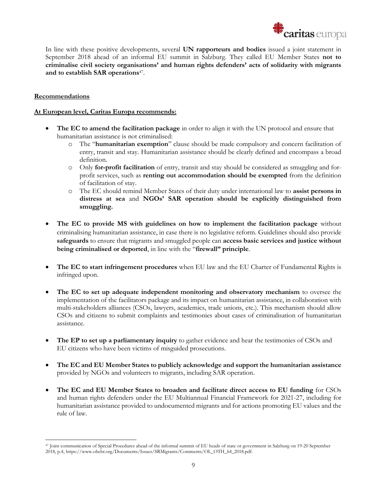

In line with these positive developments, several **UN rapporteurs and bodies** issued a joint statement in September 2018 ahead of an informal EU summit in Salzburg. They called EU Member States **not to criminalise civil society organisations' and human rights defenders' acts of solidarity with migrants and to establish SAR operations**<sup>47</sup> .

## **Recommendations**

### **At European level, Caritas Europa recommends:**

- **The EC to amend the facilitation package** in order to align it with the UN protocol and ensure that humanitarian assistance is not criminalised:
	- o The "**humanitarian exemption**" clause should be made compulsory and concern facilitation of entry, transit and stay. Humanitarian assistance should be clearly defined and encompass a broad definition.
	- o Only **for-profit facilitation** of entry, transit and stay should be considered as smuggling and forprofit services, such as **renting out accommodation should be exempted** from the definition of facilitation of stay.
	- o The EC should remind Member States of their duty under international law to **assist persons in distress at sea** and **NGOs' SAR operation should be explicitly distinguished from smuggling.**
- **The EC to provide MS with guidelines on how to implement the facilitation package** without criminalising humanitarian assistance, in case there is no legislative reform. Guidelines should also provide **safeguards** to ensure that migrants and smuggled people can **access basic services and justice without being criminalised or deported**, in line with the "**firewall" principle**.
- **The EC to start infringement procedures** when EU law and the EU Charter of Fundamental Rights is infringed upon.
- **The EC to set up adequate independent monitoring and observatory mechanism** to oversee the implementation of the facilitators package and its impact on humanitarian assistance, in collaboration with multi-stakeholders alliances (CSOs, lawyers, academics, trade unions, etc.). This mechanism should allow CSOs and citizens to submit complaints and testimonies about cases of criminalisation of humanitarian assistance.
- **The EP to set up a parliamentary inquiry** to gather evidence and hear the testimonies of CSOs and EU citizens who have been victims of misguided prosecutions.
- **The EC and EU Member States to publicly acknowledge and support the humanitarian assistance** provided by NGOs and volunteers to migrants, including SAR operation.
- **The EC and EU Member States to broaden and facilitate direct access to EU funding** for CSOs and human rights defenders under the EU Multiannual Financial Framework for 2021-27, including for humanitarian assistance provided to undocumented migrants and for actions promoting EU values and the rule of law.

l <sup>47</sup> Joint communication of Special Procedures ahead of the informal summit of EU heads of state or government in Salzburg on 19-20 September 2018, p.4, https://www.ohchr.org/Documents/Issues/SRMigrants/Comments/OL\_OTH\_64\_2018.pdf.